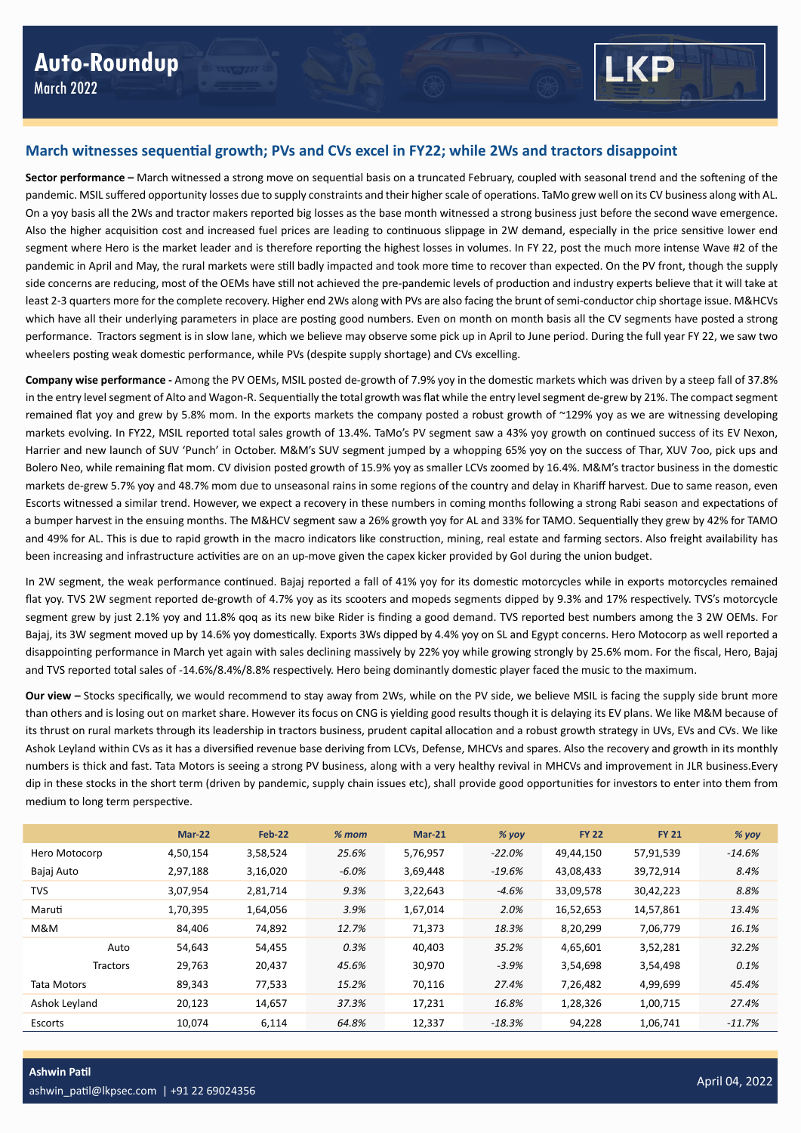

**Sector performance –** March witnessed a strong move on sequential basis on a truncated February, coupled with seasonal trend and the softening of the pandemic. MSIL suffered opportunity losses due to supply constraints and their higher scale of operations. TaMo grew well on its CV business along with AL. On a yoy basis all the 2Ws and tractor makers reported big losses as the base month witnessed a strong business just before the second wave emergence. Also the higher acquisition cost and increased fuel prices are leading to continuous slippage in 2W demand, especially in the price sensitive lower end segment where Hero is the market leader and is therefore reporting the highest losses in volumes. In FY 22, post the much more intense Wave #2 of the pandemic in April and May, the rural markets were still badly impacted and took more time to recover than expected. On the PV front, though the supply side concerns are reducing, most of the OEMs have still not achieved the pre-pandemic levels of production and industry experts believe that it will take at least 2-3 quarters more for the complete recovery. Higher end 2Ws along with PVs are also facing the brunt of semi-conductor chip shortage issue. M&HCVs which have all their underlying parameters in place are posting good numbers. Even on month on month basis all the CV segments have posted a strong performance. Tractors segment is in slow lane, which we believe may observe some pick up in April to June period. During the full year FY 22, we saw two wheelers posting weak domestic performance, while PVs (despite supply shortage) and CVs excelling.

**Company wise performance -** Among the PV OEMs, MSIL posted de-growth of 7.9% yoy in the domestic markets which was driven by a steep fall of 37.8% in the entry level segment of Alto and Wagon-R. Sequentially the total growth was flat while the entry level segment de-grew by 21%. The compact segment remained flat yoy and grew by 5.8% mom. In the exports markets the company posted a robust growth of ~129% yoy as we are witnessing developing markets evolving. In FY22, MSIL reported total sales growth of 13.4%. TaMo's PV segment saw a 43% yoy growth on continued success of its EV Nexon, Harrier and new launch of SUV 'Punch' in October. M&M's SUV segment jumped by a whopping 65% yoy on the success of Thar, XUV 7oo, pick ups and Bolero Neo, while remaining flat mom. CV division posted growth of 15.9% yoy as smaller LCVs zoomed by 16.4%. M&M's tractor business in the domestic markets de-grew 5.7% yoy and 48.7% mom due to unseasonal rains in some regions of the country and delay in Khariff harvest. Due to same reason, even Escorts witnessed a similar trend. However, we expect a recovery in these numbers in coming months following a strong Rabi season and expectations of a bumper harvest in the ensuing months. The M&HCV segment saw a 26% growth yoy for AL and 33% for TAMO. Sequentially they grew by 42% for TAMO and 49% for AL. This is due to rapid growth in the macro indicators like construction, mining, real estate and farming sectors. Also freight availability has been increasing and infrastructure activities are on an up-move given the capex kicker provided by GoI during the union budget.

In 2W segment, the weak performance continued. Bajaj reported a fall of 41% yoy for its domestic motorcycles while in exports motorcycles remained flat yoy. TVS 2W segment reported de-growth of 4.7% yoy as its scooters and mopeds segments dipped by 9.3% and 17% respectively. TVS's motorcycle segment grew by just 2.1% yoy and 11.8% qoq as its new bike Rider is finding a good demand. TVS reported best numbers among the 3 2W OEMs. For Bajaj, its 3W segment moved up by 14.6% yoy domestically. Exports 3Ws dipped by 4.4% yoy on SL and Egypt concerns. Hero Motocorp as well reported a disappointing performance in March yet again with sales declining massively by 22% yoy while growing strongly by 25.6% mom. For the fiscal, Hero, Bajaj and TVS reported total sales of -14.6%/8.4%/8.8% respectively. Hero being dominantly domestic player faced the music to the maximum.

**Our view –** Stocks specifically, we would recommend to stay away from 2Ws, while on the PV side, we believe MSIL is facing the supply side brunt more than others and is losing out on market share. However its focus on CNG is yielding good results though it is delaying its EV plans. We like M&M because of its thrust on rural markets through its leadership in tractors business, prudent capital allocation and a robust growth strategy in UVs, EVs and CVs. We like Ashok Leyland within CVs as it has a diversified revenue base deriving from LCVs, Defense, MHCVs and spares. Also the recovery and growth in its monthly numbers is thick and fast. Tata Motors is seeing a strong PV business, along with a very healthy revival in MHCVs and improvement in JLR business.Every dip in these stocks in the short term (driven by pandemic, supply chain issues etc), shall provide good opportunities for investors to enter into them from medium to long term perspective.

|               | Mar-22   | Feb-22   | $% mom$  | $Mar-21$ | % yoy   | <b>FY 22</b> | <b>FY 21</b> | $%$ yoy  |
|---------------|----------|----------|----------|----------|---------|--------------|--------------|----------|
| Hero Motocorp | 4,50,154 | 3,58,524 | 25.6%    | 5,76,957 | -22.0%  | 49,44,150    | 57,91,539    | $-14.6%$ |
| Bajaj Auto    | 2,97,188 | 3,16,020 | $-6.0\%$ | 3,69,448 | -19.6%  | 43,08,433    | 39,72,914    | 8.4%     |
| <b>TVS</b>    | 3,07,954 | 2,81,714 | 9.3%     | 3,22,643 | $-4.6%$ | 33,09,578    | 30,42,223    | 8.8%     |
| Maruti        | 1,70,395 | 1,64,056 | 3.9%     | 1,67,014 | 2.0%    | 16,52,653    | 14,57,861    | 13.4%    |
| M&M           | 84.406   | 74,892   | 12.7%    | 71,373   | 18.3%   | 8,20,299     | 7,06,779     | 16.1%    |
| Auto          | 54,643   | 54,455   | 0.3%     | 40,403   | 35.2%   | 4,65,601     | 3,52,281     | 32.2%    |
| Tractors      | 29,763   | 20,437   | 45.6%    | 30,970   | $-3.9%$ | 3,54,698     | 3,54,498     | 0.1%     |
| Tata Motors   | 89,343   | 77,533   | 15.2%    | 70,116   | 27.4%   | 7,26,482     | 4,99,699     | 45.4%    |
| Ashok Leyland | 20,123   | 14,657   | 37.3%    | 17,231   | 16.8%   | 1,28,326     | 1,00,715     | 27.4%    |
| Escorts       | 10.074   | 6.114    | 64.8%    | 12,337   | -18.3%  | 94,228       | 1,06,741     | $-11.7%$ |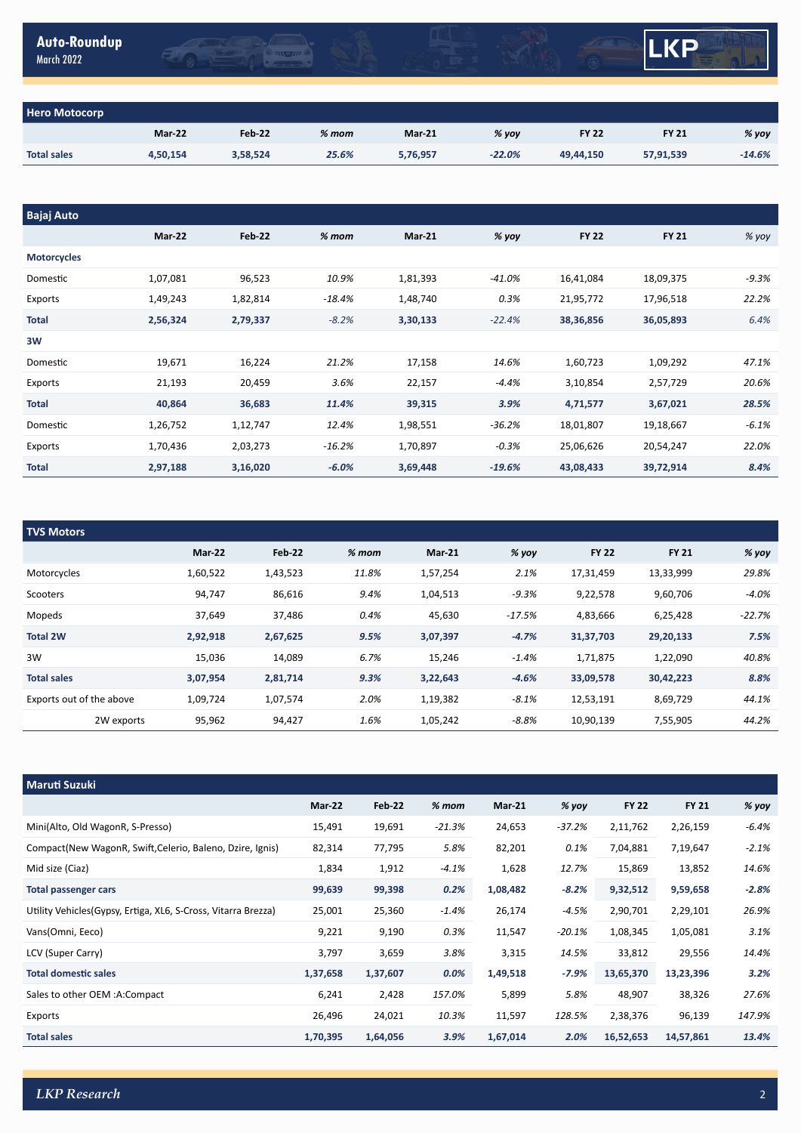| <b>Auto-Roundup</b> |  |
|---------------------|--|
| <b>March 2022</b>   |  |



| <b>Hero Motocorp</b> |               |               |         |               |          |              |              |          |
|----------------------|---------------|---------------|---------|---------------|----------|--------------|--------------|----------|
|                      | <b>Mar-22</b> | <b>Feb-22</b> | $%$ mom | <b>Mar-21</b> | $%$ yoy  | <b>FY 22</b> | <b>FY 21</b> | % yoy    |
| <b>Total sales</b>   | 4,50,154      | 3,58,524      | 25.6%   | 5,76,957      | $-22.0%$ | 49,44,150    | 57,91,539    | $-14.6%$ |

 $\frac{1}{2}$ 

| <b>Bajaj Auto</b>  |          |               |          |               |           |              |              |         |
|--------------------|----------|---------------|----------|---------------|-----------|--------------|--------------|---------|
|                    | Mar-22   | <b>Feb-22</b> | $%$ mom  | <b>Mar-21</b> | % yoy     | <b>FY 22</b> | <b>FY 21</b> | % yoy   |
| <b>Motorcycles</b> |          |               |          |               |           |              |              |         |
| Domestic           | 1,07,081 | 96,523        | 10.9%    | 1,81,393      | $-41.0\%$ | 16,41,084    | 18,09,375    | $-9.3%$ |
| Exports            | 1,49,243 | 1,82,814      | $-18.4%$ | 1,48,740      | 0.3%      | 21,95,772    | 17,96,518    | 22.2%   |
| <b>Total</b>       | 2,56,324 | 2,79,337      | $-8.2%$  | 3,30,133      | $-22.4%$  | 38,36,856    | 36,05,893    | 6.4%    |
| 3W                 |          |               |          |               |           |              |              |         |
| Domestic           | 19,671   | 16,224        | 21.2%    | 17,158        | 14.6%     | 1,60,723     | 1,09,292     | 47.1%   |
| Exports            | 21,193   | 20,459        | 3.6%     | 22,157        | $-4.4%$   | 3,10,854     | 2,57,729     | 20.6%   |
| Total              | 40,864   | 36,683        | 11.4%    | 39,315        | 3.9%      | 4,71,577     | 3,67,021     | 28.5%   |
| Domestic           | 1,26,752 | 1,12,747      | 12.4%    | 1,98,551      | $-36.2%$  | 18,01,807    | 19,18,667    | $-6.1%$ |
| Exports            | 1,70,436 | 2,03,273      | $-16.2%$ | 1,70,897      | $-0.3%$   | 25,06,626    | 20,54,247    | 22.0%   |
| <b>Total</b>       | 2,97,188 | 3,16,020      | $-6.0%$  | 3,69,448      | $-19.6%$  | 43,08,433    | 39,72,914    | 8.4%    |

| <b>TVS Motors</b>        |          |               |         |               |          |              |              |          |
|--------------------------|----------|---------------|---------|---------------|----------|--------------|--------------|----------|
|                          | Mar-22   | <b>Feb 22</b> | $%$ mom | <b>Mar-21</b> | $%$ yoy  | <b>FY 22</b> | <b>FY 21</b> | % yoy    |
| Motorcycles              | 1,60,522 | 1,43,523      | 11.8%   | 1,57,254      | 2.1%     | 17,31,459    | 13,33,999    | 29.8%    |
| Scooters                 | 94,747   | 86,616        | 9.4%    | 1,04,513      | $-9.3%$  | 9,22,578     | 9,60,706     | $-4.0%$  |
| Mopeds                   | 37,649   | 37,486        | 0.4%    | 45,630        | $-17.5%$ | 4,83,666     | 6,25,428     | $-22.7%$ |
| <b>Total 2W</b>          | 2,92,918 | 2,67,625      | 9.5%    | 3,07,397      | $-4.7%$  | 31,37,703    | 29,20,133    | 7.5%     |
| 3W                       | 15,036   | 14,089        | 6.7%    | 15,246        | $-1.4%$  | 1,71,875     | 1,22,090     | 40.8%    |
| <b>Total sales</b>       | 3,07,954 | 2,81,714      | 9.3%    | 3,22,643      | $-4.6%$  | 33,09,578    | 30,42,223    | 8.8%     |
| Exports out of the above | 1,09,724 | 1,07,574      | 2.0%    | 1,19,382      | $-8.1%$  | 12,53,191    | 8,69,729     | 44.1%    |
| 2W exports               | 95,962   | 94,427        | 1.6%    | 1,05,242      | $-8.8%$  | 10,90,139    | 7,55,905     | 44.2%    |

| <b>Maruti Suzuki</b>                                           |               |               |          |               |          |              |              |         |
|----------------------------------------------------------------|---------------|---------------|----------|---------------|----------|--------------|--------------|---------|
|                                                                | <b>Mar-22</b> | <b>Feb-22</b> | $% mom$  | <b>Mar-21</b> | % yoy    | <b>FY 22</b> | <b>FY 21</b> | % yoy   |
| Mini(Alto, Old WagonR, S-Presso)                               | 15,491        | 19,691        | $-21.3%$ | 24,653        | $-37.2%$ | 2,11,762     | 2,26,159     | $-6.4%$ |
| Compact(New WagonR, Swift, Celerio, Baleno, Dzire, Ignis)      | 82,314        | 77,795        | 5.8%     | 82,201        | 0.1%     | 7,04,881     | 7,19,647     | $-2.1%$ |
| Mid size (Ciaz)                                                | 1,834         | 1,912         | $-4.1%$  | 1,628         | 12.7%    | 15,869       | 13,852       | 14.6%   |
| Total passenger cars                                           | 99,639        | 99,398        | 0.2%     | 1,08,482      | $-8.2%$  | 9,32,512     | 9,59,658     | $-2.8%$ |
| Utility Vehicles (Gypsy, Ertiga, XL6, S-Cross, Vitarra Brezza) | 25,001        | 25,360        | $-1.4%$  | 26,174        | -4.5%    | 2,90,701     | 2,29,101     | 26.9%   |
| Vans(Omni, Eeco)                                               | 9,221         | 9,190         | 0.3%     | 11,547        | $-20.1%$ | 1,08,345     | 1,05,081     | 3.1%    |
| LCV (Super Carry)                                              | 3,797         | 3,659         | 3.8%     | 3,315         | 14.5%    | 33,812       | 29,556       | 14.4%   |
| <b>Total domestic sales</b>                                    | 1,37,658      | 1,37,607      | $0.0\%$  | 1,49,518      | $-7.9%$  | 13,65,370    | 13,23,396    | 3.2%    |
| Sales to other OEM :A:Compact                                  | 6,241         | 2,428         | 157.0%   | 5,899         | 5.8%     | 48,907       | 38,326       | 27.6%   |
| Exports                                                        | 26,496        | 24,021        | 10.3%    | 11,597        | 128.5%   | 2,38,376     | 96,139       | 147.9%  |
| <b>Total sales</b>                                             | 1,70,395      | 1,64,056      | 3.9%     | 1,67,014      | 2.0%     | 16,52,653    | 14,57,861    | 13.4%   |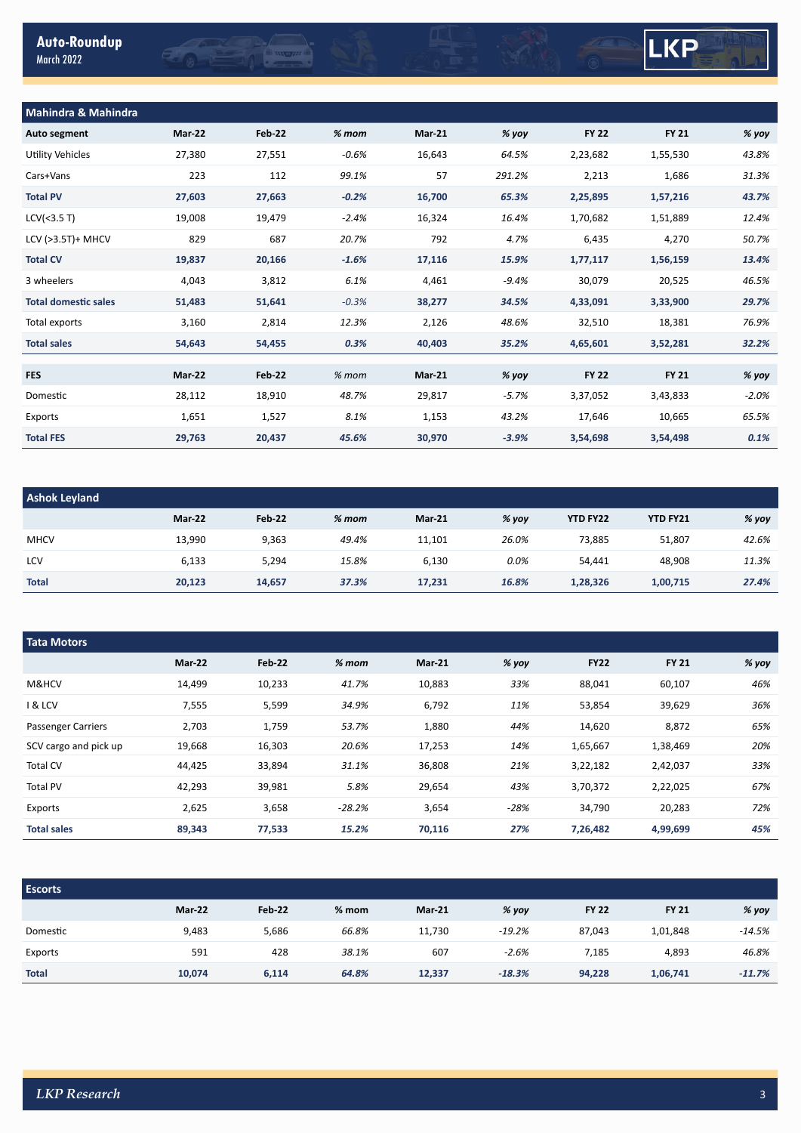## LKP

| <b>Mahindra &amp; Mahindra</b> |        |               |         |               |         |              |              |         |
|--------------------------------|--------|---------------|---------|---------------|---------|--------------|--------------|---------|
| Auto segment                   | Mar-22 | Feb 22        | $%$ mom | <b>Mar-21</b> | % yoy   | <b>FY 22</b> | <b>FY 21</b> | % yoy   |
| Utility Vehicles               | 27,380 | 27,551        | $-0.6%$ | 16,643        | 64.5%   | 2,23,682     | 1,55,530     | 43.8%   |
| Cars+Vans                      | 223    | 112           | 99.1%   | 57            | 291.2%  | 2,213        | 1,686        | 31.3%   |
| <b>Total PV</b>                | 27,603 | 27,663        | $-0.2%$ | 16,700        | 65.3%   | 2,25,895     | 1,57,216     | 43.7%   |
| LCV(<3.5 T)                    | 19,008 | 19,479        | $-2.4%$ | 16,324        | 16.4%   | 1,70,682     | 1,51,889     | 12.4%   |
| LCV (>3.5T)+ MHCV              | 829    | 687           | 20.7%   | 792           | 4.7%    | 6,435        | 4,270        | 50.7%   |
| <b>Total CV</b>                | 19,837 | 20,166        | $-1.6%$ | 17,116        | 15.9%   | 1,77,117     | 1,56,159     | 13.4%   |
| 3 wheelers                     | 4,043  | 3,812         | 6.1%    | 4,461         | $-9.4%$ | 30,079       | 20,525       | 46.5%   |
| <b>Total domestic sales</b>    | 51,483 | 51,641        | $-0.3%$ | 38,277        | 34.5%   | 4,33,091     | 3,33,900     | 29.7%   |
| Total exports                  | 3,160  | 2,814         | 12.3%   | 2,126         | 48.6%   | 32,510       | 18,381       | 76.9%   |
| <b>Total sales</b>             | 54,643 | 54,455        | 0.3%    | 40,403        | 35.2%   | 4,65,601     | 3,52,281     | 32.2%   |
|                                |        |               |         |               |         |              |              |         |
| <b>FES</b>                     | Mar-22 | <b>Feb-22</b> | $%$ mom | <b>Mar-21</b> | % yoy   | <b>FY 22</b> | <b>FY 21</b> | % yoy   |
| Domestic                       | 28,112 | 18,910        | 48.7%   | 29,817        | $-5.7%$ | 3,37,052     | 3,43,833     | $-2.0%$ |
| Exports                        | 1,651  | 1,527         | 8.1%    | 1,153         | 43.2%   | 17,646       | 10,665       | 65.5%   |
| <b>Total FES</b>               | 29,763 | 20,437        | 45.6%   | 30,970        | $-3.9%$ | 3,54,698     | 3,54,498     | 0.1%    |
|                                |        |               |         |               |         |              |              |         |

**OMOHO** 

EQSE

| <b>Ashok Leyland</b> |        |        |         |               |       |                 |                 |       |  |
|----------------------|--------|--------|---------|---------------|-------|-----------------|-----------------|-------|--|
|                      | Mar-22 | Feb 22 | $%$ mom | <b>Mar-21</b> | % yoy | <b>YTD FY22</b> | <b>YTD FY21</b> | % yoy |  |
| <b>MHCV</b>          | 13,990 | 9,363  | 49.4%   | 11,101        | 26.0% | 73,885          | 51,807          | 42.6% |  |
| LCV                  | 6,133  | 5,294  | 15.8%   | 6,130         | 0.0%  | 54,441          | 48,908          | 11.3% |  |
| <b>Total</b>         | 20,123 | 14,657 | 37.3%   | 17,231        | 16.8% | 1,28,326        | 1,00,715        | 27.4% |  |

| <b>Tata Motors</b>        |               |               |          |               |        |             |              |         |  |
|---------------------------|---------------|---------------|----------|---------------|--------|-------------|--------------|---------|--|
|                           | <b>Mar-22</b> | <b>Feb 22</b> | $%$ mom  | <b>Mar-21</b> | % yoy  | <b>FY22</b> | <b>FY 21</b> | $%$ yoy |  |
| M&HCV                     | 14,499        | 10,233        | 41.7%    | 10,883        | 33%    | 88,041      | 60,107       | 46%     |  |
| <b>1 &amp; LCV</b>        | 7,555         | 5,599         | 34.9%    | 6,792         | 11%    | 53,854      | 39,629       | 36%     |  |
| <b>Passenger Carriers</b> | 2,703         | 1,759         | 53.7%    | 1,880         | 44%    | 14,620      | 8,872        | 65%     |  |
| SCV cargo and pick up     | 19,668        | 16,303        | 20.6%    | 17,253        | 14%    | 1,65,667    | 1,38,469     | 20%     |  |
| Total CV                  | 44,425        | 33,894        | 31.1%    | 36,808        | 21%    | 3,22,182    | 2,42,037     | 33%     |  |
| <b>Total PV</b>           | 42,293        | 39,981        | 5.8%     | 29,654        | 43%    | 3,70,372    | 2,22,025     | 67%     |  |
| Exports                   | 2,625         | 3,658         | $-28.2%$ | 3,654         | $-28%$ | 34,790      | 20,283       | 72%     |  |
| <b>Total sales</b>        | 89,343        | 77,533        | 15.2%    | 70,116        | 27%    | 7,26,482    | 4,99,699     | 45%     |  |

| <b>Escorts</b> |        |               |         |               |          |              |              |          |
|----------------|--------|---------------|---------|---------------|----------|--------------|--------------|----------|
|                | Mar-22 | <b>Feb 22</b> | $%$ mom | <b>Mar-21</b> | % yoy    | <b>FY 22</b> | <b>FY 21</b> | % yoy    |
| Domestic       | 9,483  | 5,686         | 66.8%   | 11,730        | $-19.2%$ | 87,043       | 1,01,848     | $-14.5%$ |
| Exports        | 591    | 428           | 38.1%   | 607           | $-2.6%$  | 7,185        | 4,893        | 46.8%    |
| <b>Total</b>   | 10,074 | 6,114         | 64.8%   | 12,337        | $-18.3%$ | 94,228       | 1,06,741     | $-11.7%$ |